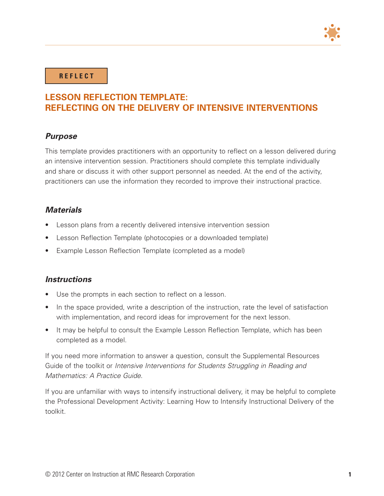

#### **R E F L E C T**

### **LESSON REFLECTION TEMPLATE: REFLECTING ON THE DELIVERY OF INTENSIVE INTERVENTIONS**

#### *Purpose*

This template provides practitioners with an opportunity to reflect on a lesson delivered during an intensive intervention session. Practitioners should complete this template individually and share or discuss it with other support personnel as needed. At the end of the activity, practitioners can use the information they recorded to improve their instructional practice.

#### *Materials*

- Lesson plans from a recently delivered intensive intervention session
- Lesson Reflection Template (photocopies or a downloaded template)
- Example Lesson Reflection Template (completed as a model)

#### *Instructions*

- Use the prompts in each section to reflect on a lesson.
- In the space provided, write a description of the instruction, rate the level of satisfaction with implementation, and record ideas for improvement for the next lesson.
- It may be helpful to consult the Example Lesson Reflection Template, which has been completed as a model.

If you need more information to answer a question, consult the Supplemental Resources Guide of the toolkit or *Intensive Interventions for Students Struggling in Reading and Mathematics: A Practice Guide*.

If you are unfamiliar with ways to intensify instructional delivery, it may be helpful to complete the Professional Development Activity: Learning How to Intensify Instructional Delivery of the toolkit.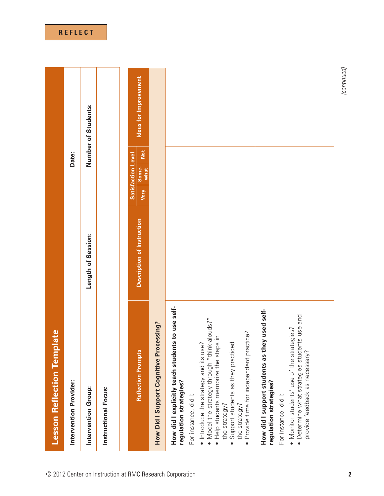| ate<br><b>Lesson Reflection Templ</b>                                                                                                                                                                                              |                            |                                                    |       |                       |
|------------------------------------------------------------------------------------------------------------------------------------------------------------------------------------------------------------------------------------|----------------------------|----------------------------------------------------|-------|-----------------------|
| Intervention Provider:                                                                                                                                                                                                             |                            |                                                    | Date: |                       |
| Intervention Group:                                                                                                                                                                                                                | Length of Session:         |                                                    |       | Number of Students:   |
| Instructional Focus:                                                                                                                                                                                                               |                            |                                                    |       |                       |
| <b>Reflection Prompts</b>                                                                                                                                                                                                          | Description of Instruction | <b>Satisfaction Level</b><br>Some-<br>what<br>Very | Not   | Ideas for Improvement |
| How Did I Support Cognitive Processing?                                                                                                                                                                                            |                            |                                                    |       |                       |
| How did I explicitly teach students to use self-<br>. Model the strategy through "think-alouds?"<br>Help students memorize the steps in<br>• Introduce the strategy and its use?<br>regulation strategies?<br>For instance, did I: |                            |                                                    |       |                       |
| Provide time for independent practice?<br>Support students as they practiced<br>the strategy?<br>the strategy?                                                                                                                     |                            |                                                    |       |                       |
| How did I support students as they used self-<br>regulation strategies?<br>For instance, did I:                                                                                                                                    |                            |                                                    |       |                       |
| · Determine what strategies students use and<br>. Monitor students' use of the strategies?<br>provide feedback as necessary?                                                                                                       |                            |                                                    |       |                       |
|                                                                                                                                                                                                                                    |                            |                                                    |       | (continued)           |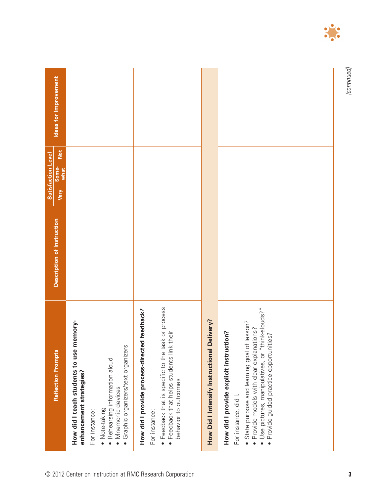|                                                                                                 |                            |      | <b>Satisfaction Level</b> |     |                       |
|-------------------------------------------------------------------------------------------------|----------------------------|------|---------------------------|-----|-----------------------|
| <b>Reflection Prompts</b>                                                                       | Description of Instruction | Very | Some-<br>what             | Not | Ideas for Improvement |
| memory-<br>How did I teach students to use<br>enhancement strategies?                           |                            |      |                           |     |                       |
| For instance:                                                                                   |                            |      |                           |     |                       |
| Rehearsing information aloud<br>· Mnemonic devices<br>Note-taking                               |                            |      |                           |     |                       |
| · Graphic organizers/text organizers                                                            |                            |      |                           |     |                       |
| How did I provide process-directed feedback?                                                    |                            |      |                           |     |                       |
| For instance:                                                                                   |                            |      |                           |     |                       |
| · Feedback that is specific to the task or process<br>• Feedback that helps students link their |                            |      |                           |     |                       |
| behavior to outcomes                                                                            |                            |      |                           |     |                       |
|                                                                                                 |                            |      |                           |     |                       |
| Delivery?<br>How Did I Intensify Instructional                                                  |                            |      |                           |     |                       |
| How did I provide explicit instruction?                                                         |                            |      |                           |     |                       |
| For instance, did I:                                                                            |                            |      |                           |     |                       |
| · State purpose and learning goal of lesson?<br>Provide models with clear explanations?         |                            |      |                           |     |                       |
| · Use pictures, manipulatives, or "think-alouds?"<br>Provide guided practice opportunities?     |                            |      |                           |     |                       |
|                                                                                                 |                            |      |                           |     |                       |
|                                                                                                 |                            |      |                           |     |                       |
|                                                                                                 |                            |      |                           |     |                       |
|                                                                                                 |                            |      |                           |     |                       |
|                                                                                                 |                            |      |                           |     |                       |

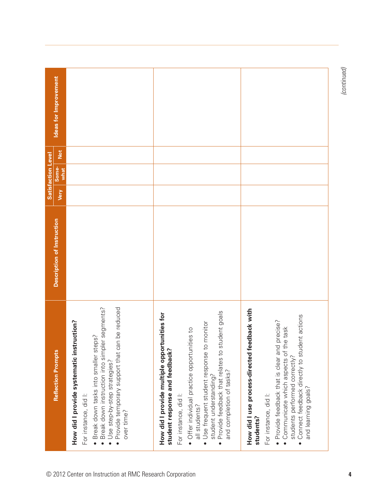| <b>Reflection Prompts</b>                                                                                                                                                                                                                                                                                                          | Description of Instruction |      | <b>Satisfaction Level</b> |     | Ideas for Improvement |
|------------------------------------------------------------------------------------------------------------------------------------------------------------------------------------------------------------------------------------------------------------------------------------------------------------------------------------|----------------------------|------|---------------------------|-----|-----------------------|
| · Break down instruction into simpler segments?<br>Provide temporary support that can be reduced<br>How did I provide systematic instruction?<br>Break down tasks into smaller steps?<br>• Use step-by-step strategies?<br>For instance, did I:<br>over time?                                                                      |                            | Very | Some-<br>what             | Not |                       |
| student goals<br>How did I provide multiple opportunities for<br>· Use frequent student response to monitor<br>· Offer individual practice opportunities to<br>student response and feedback?<br>· Provide feedback that relates to<br>and completion of tasks?<br>student understanding?<br>For instance, did I:<br>all students? |                            |      |                           |     |                       |
| How did I use process-directed feedback with<br>Connect feedback directly to student actions<br>• Provide feedback that is clear and precise?<br>• Communicate which aspects of the task<br>students performed correctly?<br>and learning goals?<br>For instance, did I:<br>students?                                              |                            |      |                           |     |                       |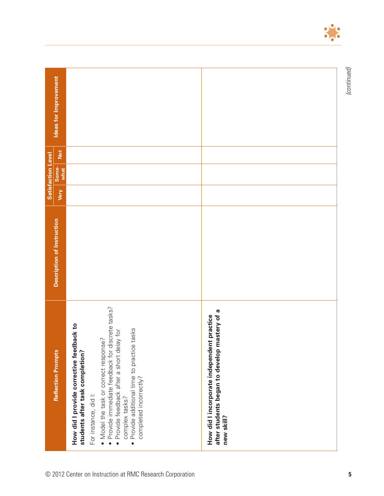|                           | Ideas for Improvement      |                                                                                                                                                                                                                                                                                                                                                      |                                                                                                             |
|---------------------------|----------------------------|------------------------------------------------------------------------------------------------------------------------------------------------------------------------------------------------------------------------------------------------------------------------------------------------------------------------------------------------------|-------------------------------------------------------------------------------------------------------------|
| <b>Satisfaction Level</b> | Not<br>Some-<br>what       |                                                                                                                                                                                                                                                                                                                                                      |                                                                                                             |
|                           | Very                       |                                                                                                                                                                                                                                                                                                                                                      |                                                                                                             |
|                           | Description of Instruction |                                                                                                                                                                                                                                                                                                                                                      |                                                                                                             |
|                           | <b>Reflection Prompts</b>  | · Provide immediate feedback for discrete tasks?<br>How did I provide corrective feedback to<br>Provide additional time to practice tasks<br>· Provide feedback after a short delay for<br>. Model the task or correct response?<br>students after task completion?<br>completed incorrectly?<br>For instance, did I:<br>complex tasks?<br>$\bullet$ | mastery of a<br>How did I incorporate independent practice<br>after students began to develop<br>new skill? |



© 2012 Center on Instruction at RMC Research Corporation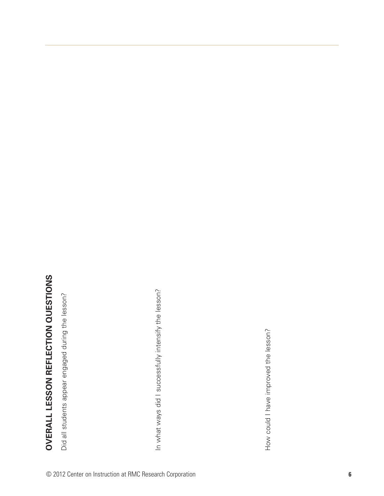# OVERALL LESSON REFLECTION QUESTIONS **OVERALL LESSON REFLECTION QUESTIONS**

Did all students appear engaged during the lesson? Did all students appear engaged during the lesson?

In what ways did I successfully intensify the lesson? In what ways did I successfully intensify the lesson?

How could I have improved the lesson? How could I have improved the lesson?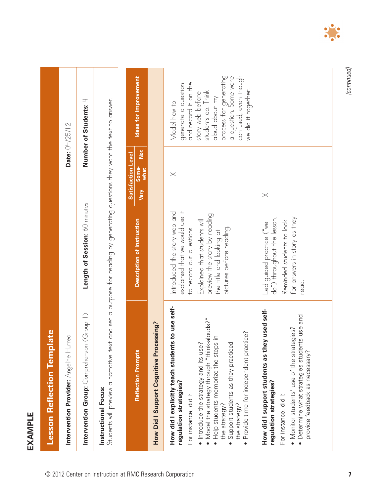**EXAMPLE EXAMPLE**

| <b>Lesson Reflection Template</b>                                                                                                                                                                                                                                                                                                                  |                                                                                                                                                                                                                    |                              |            |                                                                                                                                                                                                                            |
|----------------------------------------------------------------------------------------------------------------------------------------------------------------------------------------------------------------------------------------------------------------------------------------------------------------------------------------------------|--------------------------------------------------------------------------------------------------------------------------------------------------------------------------------------------------------------------|------------------------------|------------|----------------------------------------------------------------------------------------------------------------------------------------------------------------------------------------------------------------------------|
| Intervention Provider: $\wedge$ ngeline Hurrea                                                                                                                                                                                                                                                                                                     |                                                                                                                                                                                                                    |                              |            | Date: 04/25/12                                                                                                                                                                                                             |
| Intervention Group: Comprehension (Group 1)                                                                                                                                                                                                                                                                                                        | Length of Session: 60 minutes                                                                                                                                                                                      |                              |            | Number of Students: H                                                                                                                                                                                                      |
| Students will preview a narrative text and set a purpose for reading by generating questions they want the text to answer.<br>Instructional Focus:                                                                                                                                                                                                 |                                                                                                                                                                                                                    |                              |            |                                                                                                                                                                                                                            |
|                                                                                                                                                                                                                                                                                                                                                    |                                                                                                                                                                                                                    | <b>Satisfaction Level</b>    |            |                                                                                                                                                                                                                            |
| <b>Reflection Prompts</b>                                                                                                                                                                                                                                                                                                                          | Description of Instruction                                                                                                                                                                                         | Some-<br>what<br><b>Very</b> | <b>Not</b> | Ideas for Improvement                                                                                                                                                                                                      |
| How Did I Support Cognitive Processing?                                                                                                                                                                                                                                                                                                            |                                                                                                                                                                                                                    |                              |            |                                                                                                                                                                                                                            |
| How did I explicitly teach students to use self-<br>. Model the strategy through "think-alouds?"<br>Provide time for independent practice?<br>Help students memorize the steps in<br>Introduce the strategy and its use?<br>Support students as they practiced<br>regulation strategies?<br>For instance, did I:<br>the strategy?<br>the strategy? | explained that we would use it<br>Introduced the story web and<br>preview the story by reading<br>Explained that students will<br>to record our questions.<br>pictures before reading.<br>the title and looking at | $\times$                     |            | confused, even though<br>process for generating<br>a question. Some were<br>and record it on the<br>generate a question<br>we did it together.<br>students do. Think<br>story web before<br>aloud about my<br>Model how to |
| used self-<br>use and<br>• Monitor students' use of the strategies?<br>• Determine what strategies students<br>How did I support students as they<br>provide feedback as necessary?<br>regulation strategies?<br>For instance, did I:                                                                                                              | for answers in story as they<br>Led guided practice ("we<br>do") throughout the lesson.<br>Reminded students to look<br>read.                                                                                      | $\times$                     |            |                                                                                                                                                                                                                            |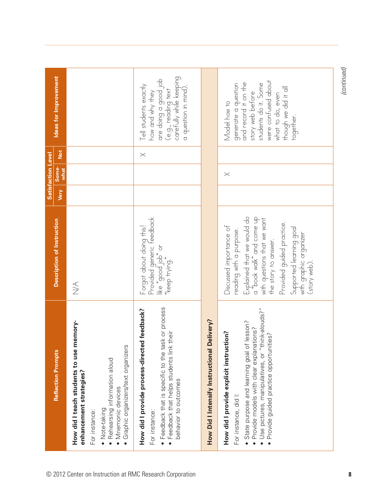|                                                                                                                                                                                                                                                       |                                                                                                                                                                                                                                                                        |             | <b>Satisfaction Level</b> |          |                                                                                                                                                                                         |
|-------------------------------------------------------------------------------------------------------------------------------------------------------------------------------------------------------------------------------------------------------|------------------------------------------------------------------------------------------------------------------------------------------------------------------------------------------------------------------------------------------------------------------------|-------------|---------------------------|----------|-----------------------------------------------------------------------------------------------------------------------------------------------------------------------------------------|
| <b>Reflection Prompts</b>                                                                                                                                                                                                                             | Description of Instruction                                                                                                                                                                                                                                             | <b>Very</b> | Some-<br>what             | Not      | Ideas for Improvement                                                                                                                                                                   |
| How did I teach students to use memory-<br>Graphic organizers/text organizers<br>Rehearsing information aloud<br>enhancement strategies?<br>Mnemonic devices<br>• Note-taking<br>For instance:                                                        | $\frac{1}{2}$                                                                                                                                                                                                                                                          |             |                           |          |                                                                                                                                                                                         |
| · Feedback that is specific to the task or process<br>How did I provide process-directed feedback?<br>their<br>• Feedback that helps students link<br>behavior to outcomes<br>For instance:                                                           | Provided generic feedback<br>Forgot about doing this!<br>ike "good job" or<br>"keep trying."                                                                                                                                                                           |             |                           | $\times$ | are doing a good job<br>(e.g., reading text<br>carefully while keeping<br>Tell students exactly<br>a question in mind).<br>how and why they                                             |
| How Did I Intensify Instructional Delivery?                                                                                                                                                                                                           |                                                                                                                                                                                                                                                                        |             |                           |          |                                                                                                                                                                                         |
| Use pictures, manipulatives, or "think-alouds?"<br>State purpose and learning goal of lesson?<br>Provide models with clear explanations?<br>How did I provide explicit instruction?<br>Provide guided practice opportunities?<br>For instance, did I: | Explained that we would do<br>a "book walk" and come up<br>with questions that we want<br>Provided guided practice.<br>Discussed importance of<br>Supported learning goal<br>reading with a purpose.<br>with graphic organizer<br>the story to answer.<br>(story web). |             | $\times$                  |          | were confused about<br>generate a question<br>and record it on the<br>students do it. Some<br>though we did it all<br>story web before<br>what to do, even<br>Model how to<br>together. |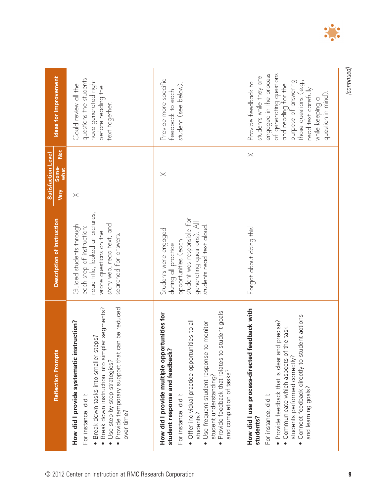|                                                                                                                                                                                                                                                                                                                                 |                                                                                                                                                                         | <b>Satisfaction Level</b> |                      |                                                                                                                                                                                                                                              |
|---------------------------------------------------------------------------------------------------------------------------------------------------------------------------------------------------------------------------------------------------------------------------------------------------------------------------------|-------------------------------------------------------------------------------------------------------------------------------------------------------------------------|---------------------------|----------------------|----------------------------------------------------------------------------------------------------------------------------------------------------------------------------------------------------------------------------------------------|
| <b>Reflection Prompts</b>                                                                                                                                                                                                                                                                                                       | Description of Instruction                                                                                                                                              | Very                      | Not<br>Some-<br>what | Ideas for Improvement                                                                                                                                                                                                                        |
| Provide temporary support that can be reduced<br>Break down instruction into simpler segments?<br>How did I provide systematic instruction?<br>Break down tasks into smaller steps?<br>• Use step-by-step strategies?<br>For instance, did I:<br>over time?                                                                     | read title, looked at pictures,<br>story web, read text, and<br>Guided students through<br>each step of instruction:<br>wrote questions on the<br>searched for answers. | $\times$                  |                      | questions the students<br>have generated right<br>Could review all the<br>before reading the<br>text together.                                                                                                                               |
| · Provide feedback that relates to student goals<br>How did I provide multiple opportunities for<br>· Offer individual practice opportunities to all<br>· Use frequent student response to monitor<br>student response and feedback?<br>and completion of tasks?<br>student understanding?<br>For instance, did I:<br>students? | student was responsible for<br>generating questions). All<br>students read text aloud.<br>Students were engaged<br>opportunities (each<br>during all practice           |                           | $\times$             | Provide more specific<br>student (see below).<br>feedback to each                                                                                                                                                                            |
| How did I use process-directed feedback with<br>ent actions<br>· Provide feedback that is clear and precise?<br>• Communicate which aspects of the task<br>• Connect feedback directly to stud<br>students performed correctly?<br>and learning goals?<br>For instance, did I:<br>students?                                     | Forgot about doing this!                                                                                                                                                |                           | $\times$             | engaged in the process<br>of generating questions<br>students while they are<br>those questions (e.g.,<br>and reading for the<br>purpose of answering<br>Provide feedback to<br>read text carefully<br>question in mind).<br>while keeping a |



 $\bullet$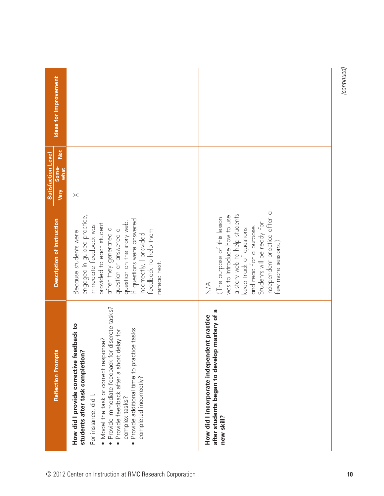|                                                          |                                                                                                                                                                                                                                                                                                                                                                                |                                                                                                                                                                                                                                                                                               |          | <b>Satisfaction Level</b> |     |                       |
|----------------------------------------------------------|--------------------------------------------------------------------------------------------------------------------------------------------------------------------------------------------------------------------------------------------------------------------------------------------------------------------------------------------------------------------------------|-----------------------------------------------------------------------------------------------------------------------------------------------------------------------------------------------------------------------------------------------------------------------------------------------|----------|---------------------------|-----|-----------------------|
|                                                          | <b>Reflection Prompts</b>                                                                                                                                                                                                                                                                                                                                                      | Description of Instruction                                                                                                                                                                                                                                                                    | Very     | Some-<br>what             | Not | Ideas for Improvement |
| © 2012 Center on Instruction at RMC Research Corporation | iscrete tasks?<br>How did I provide corrective feedback to<br>Provide additional time to practice tasks<br>Provide feedback after a short delay for<br>. Model the task or correct response?<br>Provide immediate feedback for d<br>students after task completion?<br>completed incorrectly?<br>For instance, did I:<br>complex tasks?<br>$\bullet$<br>$\bullet$<br>$\bullet$ | engaged in guided practice,<br>immediate feedback was<br>f questions were answered<br>question on the story web.<br>provided to each student<br>after they generated a<br>question or answered a<br>feedback to help them<br>Because students were<br>incorrectly, I provided<br>reread text. | $\times$ |                           |     |                       |
|                                                          | mastery of a<br>How did I incorporate independent practice<br>after students began to develop<br>new skill?                                                                                                                                                                                                                                                                    | independent practice after a<br>a story web to help students<br>was to introduce how to use<br>The purpose of this lesson<br>Students will be ready for<br>and read for a purpose.<br>keep track of questions<br>few more sessions.)<br>$\leq$                                                |          |                           |     |                       |
| 10                                                       |                                                                                                                                                                                                                                                                                                                                                                                |                                                                                                                                                                                                                                                                                               |          |                           |     | (continued)           |